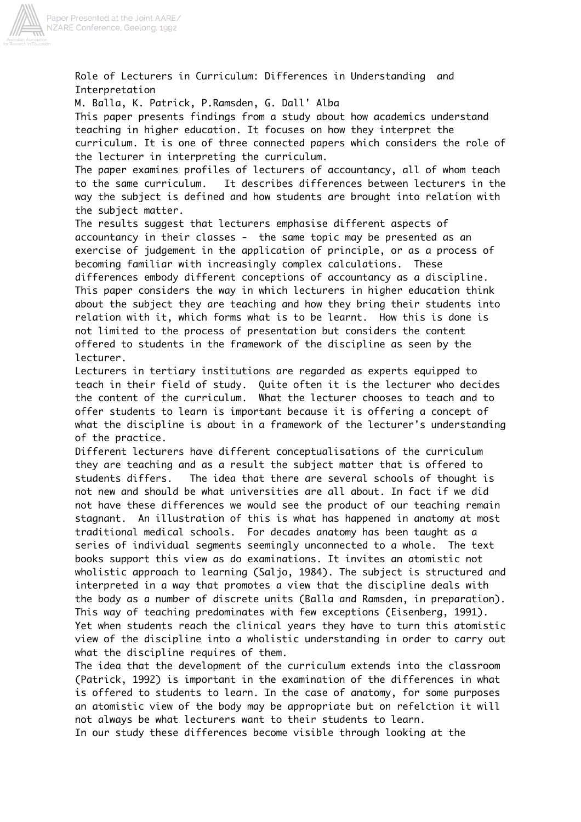

Role of Lecturers in Curriculum: Differences in Understanding Interpretation

M. Balla, K. Patrick, P.Ramsden, G. Dall' Alba

This paper presents findings from a study about how academics understand teaching in higher education. It focuses on how they interpret the curriculum. It is one of three connected papers which considers the role of the lecturer in interpreting the curriculum.

The paper examines profiles of lecturers of accountancy, all of whom teach to the same curriculum. It describes differences between lecturers in the way the subject is defined and how students are brought into relation with the subject matter.

The results suggest that lecturers emphasise different aspects of accountancy in their classes - the same topic may be presented as an exercise of judgement in the application of principle, or as a process of becoming familiar with increasingly complex calculations. These differences embody different conceptions of accountancy as a discipline. This paper considers the way in which lecturers in higher education think about the subject they are teaching and how they bring their students into relation with it, which forms what is to be learnt. How this is done is not limited to the process of presentation but considers the content offered to students in the framework of the discipline as seen by the lecturer.

Lecturers in tertiary institutions are regarded as experts equipped to teach in their field of study. Quite often it is the lecturer who decides the content of the curriculum. What the lecturer chooses to teach and to offer students to learn is important because it is offering a concept of what the discipline is about in a framework of the lecturer's understanding of the practice.

Different lecturers have different conceptualisations of the curriculum they are teaching and as a result the subject matter that is offered to students differs. The idea that there are several schools of thought is not new and should be what universities are all about. In fact if we did not have these differences we would see the product of our teaching remain stagnant. An illustration of this is what has happened in anatomy at most traditional medical schools. For decades anatomy has been taught as a series of individual segments seemingly unconnected to a whole. The text books support this view as do examinations. It invites an atomistic not wholistic approach to learning (Saljo, 1984). The subject is structured and interpreted in a way that promotes a view that the discipline deals with the body as a number of discrete units (Balla and Ramsden, in preparation). This way of teaching predominates with few exceptions (Eisenberg, 1991). Yet when students reach the clinical years they have to turn this atomistic view of the discipline into a wholistic understanding in order to carry out what the discipline requires of them.

The idea that the development of the curriculum extends into the classroom (Patrick, 1992) is important in the examination of the differences in what is offered to students to learn. In the case of anatomy, for some purposes an atomistic view of the body may be appropriate but on refelction it will not always be what lecturers want to their students to learn.

In our study these differences become visible through looking at the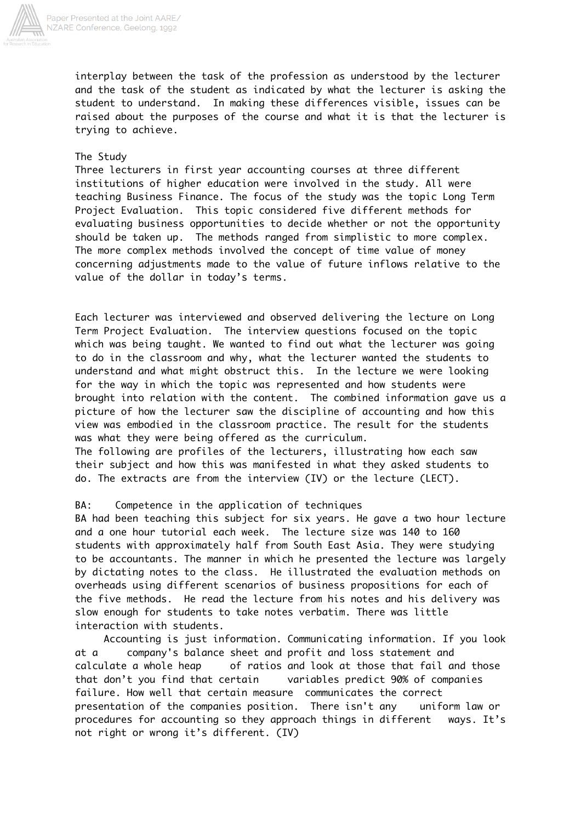

interplay between the task of the profession as understood by the lecturer and the task of the student as indicated by what the lecturer is asking the student to understand. In making these differences visible, issues can be raised about the purposes of the course and what it is that the lecturer is trying to achieve.

## The Study

Three lecturers in first year accounting courses at three different institutions of higher education were involved in the study. All were teaching Business Finance. The focus of the study was the topic Long Term Project Evaluation. This topic considered five different methods for evaluating business opportunities to decide whether or not the opportunity should be taken up. The methods ranged from simplistic to more complex. The more complex methods involved the concept of time value of money concerning adjustments made to the value of future inflows relative to the value of the dollar in today's terms.

Each lecturer was interviewed and observed delivering the lecture on Long Term Project Evaluation. The interview questions focused on the topic which was being taught. We wanted to find out what the lecturer was going to do in the classroom and why, what the lecturer wanted the students to understand and what might obstruct this. In the lecture we were looking for the way in which the topic was represented and how students were brought into relation with the content. The combined information gave us a picture of how the lecturer saw the discipline of accounting and how this view was embodied in the classroom practice. The result for the students was what they were being offered as the curriculum.

The following are profiles of the lecturers, illustrating how each saw their subject and how this was manifested in what they asked students to do. The extracts are from the interview (IV) or the lecture (LECT).

# BA: Competence in the application of techniques

BA had been teaching this subject for six years. He gave a two hour lecture and a one hour tutorial each week. The lecture size was 140 to 160 students with approximately half from South East Asia. They were studying to be accountants. The manner in which he presented the lecture was largely by dictating notes to the class. He illustrated the evaluation methods on overheads using different scenarios of business propositions for each of the five methods. He read the lecture from his notes and his delivery was slow enough for students to take notes verbatim. There was little interaction with students.

 Accounting is just information. Communicating information. If you look at a company's balance sheet and profit and loss statement and calculate a whole heap of ratios and look at those that fail and those that don't you find that certain variables predict 90% of companies failure. How well that certain measure communicates the correct presentation of the companies position. There isn't any uniform law or procedures for accounting so they approach things in different ways. It's not right or wrong it's different. (IV)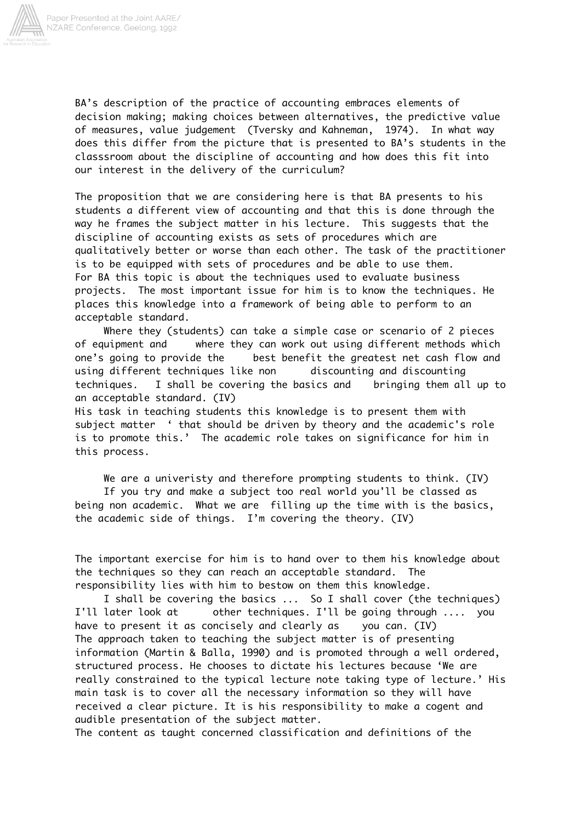

BA's description of the practice of accounting embraces elements of decision making; making choices between alternatives, the predictive value of measures, value judgement (Tversky and Kahneman, 1974). In what way does this differ from the picture that is presented to BA's students in the classsroom about the discipline of accounting and how does this fit into our interest in the delivery of the curriculum?

The proposition that we are considering here is that BA presents to his students a different view of accounting and that this is done through the way he frames the subject matter in his lecture. This suggests that the discipline of accounting exists as sets of procedures which are qualitatively better or worse than each other. The task of the practitioner is to be equipped with sets of procedures and be able to use them. For BA this topic is about the techniques used to evaluate business projects. The most important issue for him is to know the techniques. He places this knowledge into a framework of being able to perform to an acceptable standard.

 Where they (students) can take a simple case or scenario of 2 pieces of equipment and where they can work out using different methods which one's going to provide the best benefit the greatest net cash flow and using different techniques like non discounting and discounting techniques. I shall be covering the basics and bringing them all up to an acceptable standard. (IV) His task in teaching students this knowledge is to present them with

subject matter ' that should be driven by theory and the academic's role is to promote this.' The academic role takes on significance for him in this process.

 We are a univeristy and therefore prompting students to think. (IV) If you try and make a subject too real world you'll be classed as being non academic. What we are filling up the time with is the basics, the academic side of things. I'm covering the theory. (IV)

The important exercise for him is to hand over to them his knowledge about the techniques so they can reach an acceptable standard. The responsibility lies with him to bestow on them this knowledge.

 I shall be covering the basics ... So I shall cover (the techniques) I'll later look at other techniques. I'll be going through .... you have to present it as concisely and clearly as you can. (IV) The approach taken to teaching the subject matter is of presenting information (Martin & Balla, 1990) and is promoted through a well ordered, structured process. He chooses to dictate his lectures because 'We are really constrained to the typical lecture note taking type of lecture.' His main task is to cover all the necessary information so they will have received a clear picture. It is his responsibility to make a cogent and audible presentation of the subject matter.

The content as taught concerned classification and definitions of the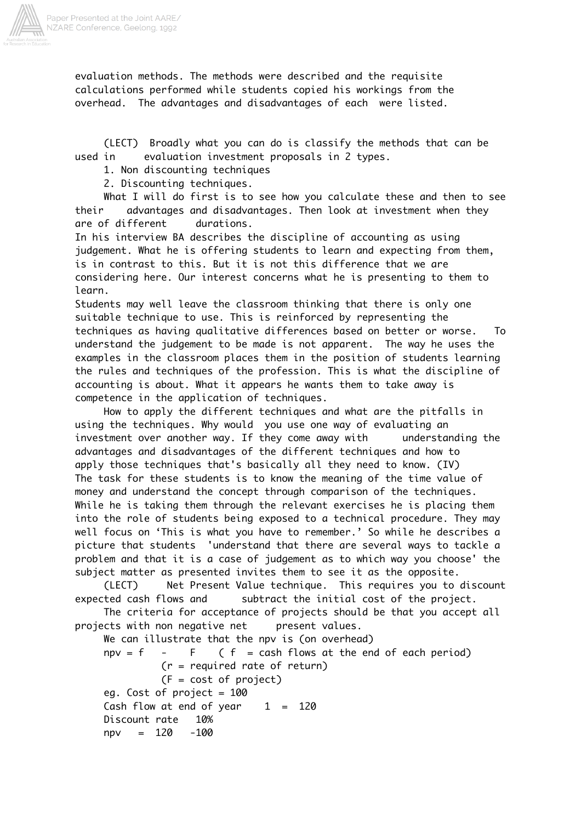

evaluation methods. The methods were described and the requisite calculations performed while students copied his workings from the overhead. The advantages and disadvantages of each were listed.

 (LECT) Broadly what you can do is classify the methods that can be used in evaluation investment proposals in 2 types.

1. Non discounting techniques

2. Discounting techniques.

 What I will do first is to see how you calculate these and then to see their advantages and disadvantages. Then look at investment when they are of different durations.

In his interview BA describes the discipline of accounting as using judgement. What he is offering students to learn and expecting from them, is in contrast to this. But it is not this difference that we are considering here. Our interest concerns what he is presenting to them to learn.

Students may well leave the classroom thinking that there is only one suitable technique to use. This is reinforced by representing the techniques as having qualitative differences based on better or worse. To understand the judgement to be made is not apparent. The way he uses the examples in the classroom places them in the position of students learning the rules and techniques of the profession. This is what the discipline of accounting is about. What it appears he wants them to take away is competence in the application of techniques.

 How to apply the different techniques and what are the pitfalls in using the techniques. Why would you use one way of evaluating an investment over another way. If they come away with understanding the advantages and disadvantages of the different techniques and how to apply those techniques that's basically all they need to know. (IV) The task for these students is to know the meaning of the time value of money and understand the concept through comparison of the techniques. While he is taking them through the relevant exercises he is placing them into the role of students being exposed to a technical procedure. They may well focus on 'This is what you have to remember.' So while he describes a picture that students 'understand that there are several ways to tackle a problem and that it is a case of judgement as to which way you choose' the subject matter as presented invites them to see it as the opposite.

 (LECT) Net Present Value technique. This requires you to discount expected cash flows and subtract the initial cost of the project.

 The criteria for acceptance of projects should be that you accept all projects with non negative net present values.

 We can illustrate that the npv is (on overhead)  $npv = f - F$  (  $f = cash flows at the end of each period)$  (r = required rate of return) (F = cost of project) eg. Cost of project  $= 100$ Cash flow at end of year  $1 = 120$  Discount rate 10% npv = 120 -100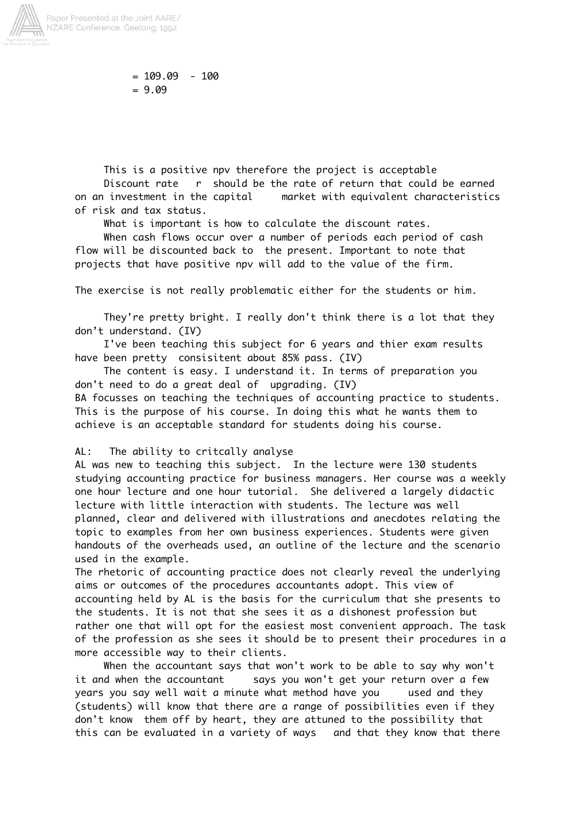

 $= 109.09 - 100$  $= 9.09$ 

 This is a positive npv therefore the project is acceptable Discount rate r should be the rate of return that could be earned on an investment in the capital market with equivalent characteristics of risk and tax status.

What is important is how to calculate the discount rates.

 When cash flows occur over a number of periods each period of cash flow will be discounted back to the present. Important to note that projects that have positive npv will add to the value of the firm.

The exercise is not really problematic either for the students or him.

 They're pretty bright. I really don't think there is a lot that they don't understand. (IV)

 I've been teaching this subject for 6 years and thier exam results have been pretty consisitent about 85% pass. (IV)

 The content is easy. I understand it. In terms of preparation you don't need to do a great deal of upgrading. (IV)

BA focusses on teaching the techniques of accounting practice to students. This is the purpose of his course. In doing this what he wants them to achieve is an acceptable standard for students doing his course.

### AL: The ability to critcally analyse

AL was new to teaching this subject. In the lecture were 130 students studying accounting practice for business managers. Her course was a weekly one hour lecture and one hour tutorial. She delivered a largely didactic lecture with little interaction with students. The lecture was well planned, clear and delivered with illustrations and anecdotes relating the topic to examples from her own business experiences. Students were given handouts of the overheads used, an outline of the lecture and the scenario used in the example.

The rhetoric of accounting practice does not clearly reveal the underlying aims or outcomes of the procedures accountants adopt. This view of accounting held by AL is the basis for the curriculum that she presents to the students. It is not that she sees it as a dishonest profession but rather one that will opt for the easiest most convenient approach. The task of the profession as she sees it should be to present their procedures in a more accessible way to their clients.

 When the accountant says that won't work to be able to say why won't it and when the accountant says you won't get your return over a few years you say well wait a minute what method have you used and they (students) will know that there are a range of possibilities even if they don't know them off by heart, they are attuned to the possibility that this can be evaluated in a variety of ways and that they know that there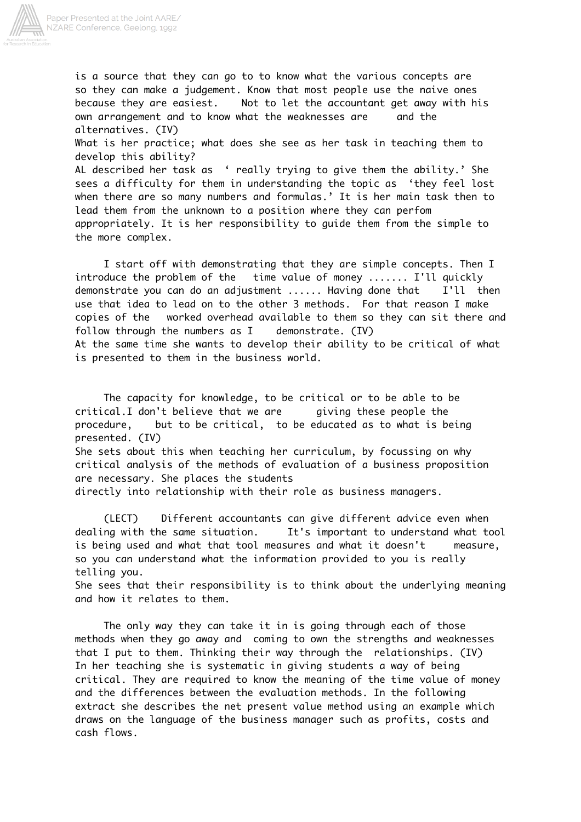![](_page_5_Picture_0.jpeg)

is a source that they can go to to know what the various concepts are so they can make a judgement. Know that most people use the naive ones because they are easiest. Not to let the accountant get away with his own arrangement and to know what the weaknesses are and the alternatives. (IV) What is her practice; what does she see as her task in teaching them to develop this ability? AL described her task as ' really trying to give them the ability.' She sees a difficulty for them in understanding the topic as 'they feel lost when there are so many numbers and formulas.' It is her main task then to lead them from the unknown to a position where they can perfom appropriately. It is her responsibility to guide them from the simple to the more complex.

 I start off with demonstrating that they are simple concepts. Then I introduce the problem of the time value of money ....... I'll quickly demonstrate you can do an adjustment ...... Having done that I'll then use that idea to lead on to the other 3 methods. For that reason I make copies of the worked overhead available to them so they can sit there and follow through the numbers as I demonstrate. (IV) At the same time she wants to develop their ability to be critical of what is presented to them in the business world.

 The capacity for knowledge, to be critical or to be able to be critical.I don't believe that we are giving these people the procedure, but to be critical, to be educated as to what is being presented. (IV) She sets about this when teaching her curriculum, by focussing on why critical analysis of the methods of evaluation of a business proposition are necessary. She places the students

directly into relationship with their role as business managers.

 (LECT) Different accountants can give different advice even when dealing with the same situation. It's important to understand what tool is being used and what that tool measures and what it doesn't measure, so you can understand what the information provided to you is really telling you.

She sees that their responsibility is to think about the underlying meaning and how it relates to them.

 The only way they can take it in is going through each of those methods when they go away and coming to own the strengths and weaknesses that I put to them. Thinking their way through the relationships. (IV) In her teaching she is systematic in giving students a way of being critical. They are required to know the meaning of the time value of money and the differences between the evaluation methods. In the following extract she describes the net present value method using an example which draws on the language of the business manager such as profits, costs and cash flows.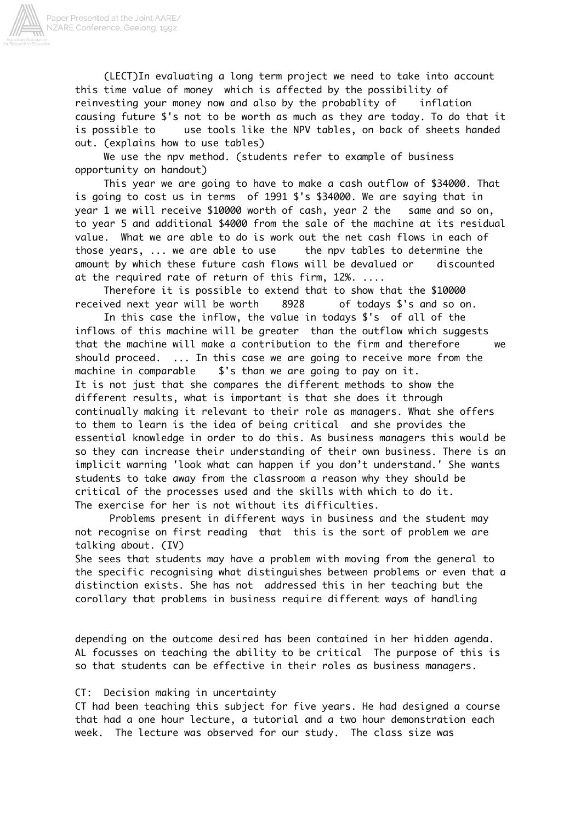![](_page_6_Picture_0.jpeg)

 (LECT)In evaluating a long term project we need to take into account this time value of money which is affected by the possibility of reinvesting your money now and also by the probablity of inflation causing future \$'s not to be worth as much as they are today. To do that it is possible to use tools like the NPV tables, on back of sheets handed out. (explains how to use tables)

 We use the npv method. (students refer to example of business opportunity on handout)

 This year we are going to have to make a cash outflow of \$34000. That is going to cost us in terms of 1991 \$'s \$34000. We are saying that in year 1 we will receive \$10000 worth of cash, year 2 the same and so on, to year 5 and additional \$4000 from the sale of the machine at its residual value. What we are able to do is work out the net cash flows in each of those years, ... we are able to use the npv tables to determine the amount by which these future cash flows will be devalued or discounted at the required rate of return of this firm, 12%. ....

 Therefore it is possible to extend that to show that the \$10000 received next year will be worth 8928 of todays \$'s and so on.

 In this case the inflow, the value in todays \$'s of all of the inflows of this machine will be greater than the outflow which suggests that the machine will make a contribution to the firm and therefore we should proceed. ... In this case we are going to receive more from the machine in comparable \$'s than we are going to pay on it. It is not just that she compares the different methods to show the different results, what is important is that she does it through continually making it relevant to their role as managers. What she offers to them to learn is the idea of being critical and she provides the essential knowledge in order to do this. As business managers this would be so they can increase their understanding of their own business. There is an implicit warning 'look what can happen if you don't understand.' She wants students to take away from the classroom a reason why they should be critical of the processes used and the skills with which to do it. The exercise for her is not without its difficulties.

 Problems present in different ways in business and the student may not recognise on first reading that this is the sort of problem we are talking about. (IV)

She sees that students may have a problem with moving from the general to the specific recognising what distinguishes between problems or even that a distinction exists. She has not addressed this in her teaching but the corollary that problems in business require different ways of handling

depending on the outcome desired has been contained in her hidden agenda. AL focusses on teaching the ability to be critical The purpose of this is so that students can be effective in their roles as business managers.

### CT: Decision making in uncertainty

CT had been teaching this subject for five years. He had designed a course that had a one hour lecture, a tutorial and a two hour demonstration each week. The lecture was observed for our study. The class size was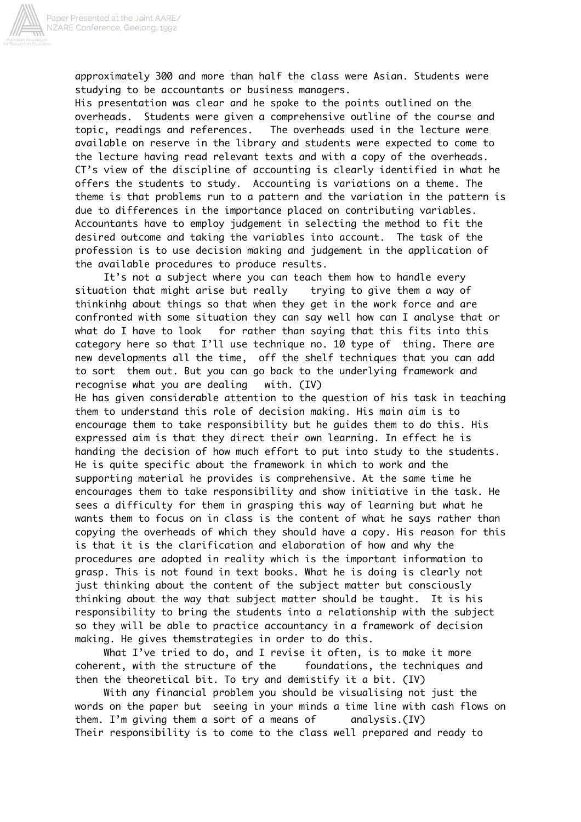![](_page_7_Picture_0.jpeg)

approximately 300 and more than half the class were Asian. Students were studying to be accountants or business managers.

His presentation was clear and he spoke to the points outlined on the overheads. Students were given a comprehensive outline of the course and topic, readings and references. The overheads used in the lecture were available on reserve in the library and students were expected to come to the lecture having read relevant texts and with a copy of the overheads. CT's view of the discipline of accounting is clearly identified in what he offers the students to study. Accounting is variations on a theme. The theme is that problems run to a pattern and the variation in the pattern is due to differences in the importance placed on contributing variables. Accountants have to employ judgement in selecting the method to fit the desired outcome and taking the variables into account. The task of the profession is to use decision making and judgement in the application of the available procedures to produce results.

 It's not a subject where you can teach them how to handle every situation that might arise but really trying to give them a way of thinkinhg about things so that when they get in the work force and are confronted with some situation they can say well how can I analyse that or what do I have to look for rather than saying that this fits into this category here so that I'll use technique no. 10 type of thing. There are new developments all the time, off the shelf techniques that you can add to sort them out. But you can go back to the underlying framework and recognise what you are dealing with. (IV)

He has given considerable attention to the question of his task in teaching them to understand this role of decision making. His main aim is to encourage them to take responsibility but he guides them to do this. His expressed aim is that they direct their own learning. In effect he is handing the decision of how much effort to put into study to the students. He is quite specific about the framework in which to work and the supporting material he provides is comprehensive. At the same time he encourages them to take responsibility and show initiative in the task. He sees a difficulty for them in grasping this way of learning but what he wants them to focus on in class is the content of what he says rather than copying the overheads of which they should have a copy. His reason for this is that it is the clarification and elaboration of how and why the procedures are adopted in reality which is the important information to grasp. This is not found in text books. What he is doing is clearly not just thinking about the content of the subject matter but consciously thinking about the way that subject matter should be taught. It is his responsibility to bring the students into a relationship with the subject so they will be able to practice accountancy in a framework of decision making. He gives themstrategies in order to do this.

 What I've tried to do, and I revise it often, is to make it more coherent, with the structure of the foundations, the techniques and then the theoretical bit. To try and demistify it a bit. (IV)

 With any financial problem you should be visualising not just the words on the paper but seeing in your minds a time line with cash flows on them. I'm giving them a sort of a means of analysis.(IV) Their responsibility is to come to the class well prepared and ready to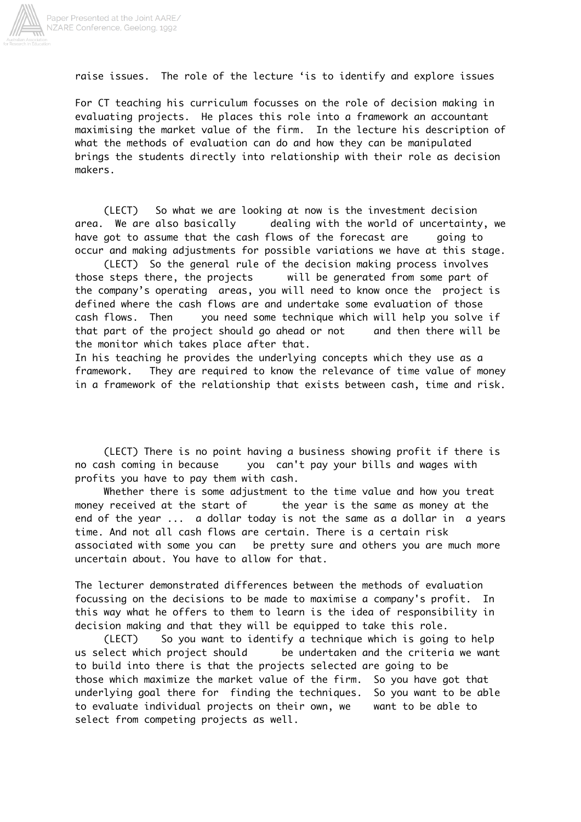![](_page_8_Picture_0.jpeg)

raise issues. The role of the lecture 'is to identify and explore issues

For CT teaching his curriculum focusses on the role of decision making in evaluating projects. He places this role into a framework an accountant maximising the market value of the firm. In the lecture his description of what the methods of evaluation can do and how they can be manipulated brings the students directly into relationship with their role as decision makers.

 (LECT) So what we are looking at now is the investment decision area. We are also basically dealing with the world of uncertainty, we have got to assume that the cash flows of the forecast are going to occur and making adjustments for possible variations we have at this stage.

 (LECT) So the general rule of the decision making process involves those steps there, the projects will be generated from some part of the company's operating areas, you will need to know once the project is defined where the cash flows are and undertake some evaluation of those cash flows. Then you need some technique which will help you solve if that part of the project should go ahead or not and then there will be the monitor which takes place after that.

In his teaching he provides the underlying concepts which they use as a framework. They are required to know the relevance of time value of money in a framework of the relationship that exists between cash, time and risk.

 (LECT) There is no point having a business showing profit if there is no cash coming in because you can't pay your bills and wages with profits you have to pay them with cash.

 Whether there is some adjustment to the time value and how you treat money received at the start of the year is the same as money at the end of the year ... a dollar today is not the same as a dollar in a years time. And not all cash flows are certain. There is a certain risk associated with some you can be pretty sure and others you are much more uncertain about. You have to allow for that.

The lecturer demonstrated differences between the methods of evaluation focussing on the decisions to be made to maximise a company's profit. In this way what he offers to them to learn is the idea of responsibility in decision making and that they will be equipped to take this role.

 (LECT) So you want to identify a technique which is going to help us select which project should be undertaken and the criteria we want to build into there is that the projects selected are going to be those which maximize the market value of the firm. So you have got that underlying goal there for finding the techniques. So you want to be able to evaluate individual projects on their own, we want to be able to select from competing projects as well.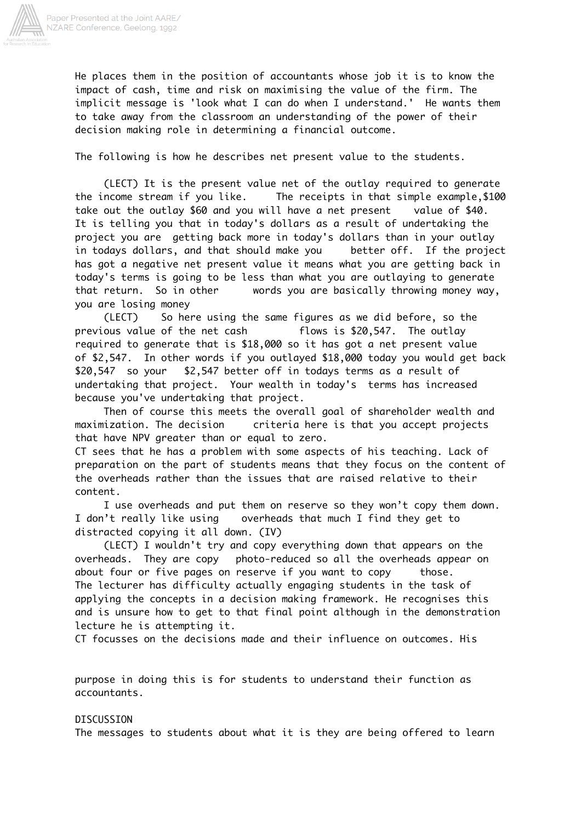![](_page_9_Picture_0.jpeg)

He places them in the position of accountants whose job it is to know the impact of cash, time and risk on maximising the value of the firm. The implicit message is 'look what I can do when I understand.' He wants them to take away from the classroom an understanding of the power of their decision making role in determining a financial outcome.

The following is how he describes net present value to the students.

 (LECT) It is the present value net of the outlay required to generate the income stream if you like. The receipts in that simple example,\$100 take out the outlay \$60 and you will have a net present value of \$40. It is telling you that in today's dollars as a result of undertaking the project you are getting back more in today's dollars than in your outlay in todays dollars, and that should make you better off. If the project has got a negative net present value it means what you are getting back in today's terms is going to be less than what you are outlaying to generate that return. So in other words you are basically throwing money way, you are losing money

 (LECT) So here using the same figures as we did before, so the previous value of the net cash flows is \$20,547. The outlay required to generate that is \$18,000 so it has got a net present value of \$2,547. In other words if you outlayed \$18,000 today you would get back \$20,547 so your \$2,547 better off in todays terms as a result of undertaking that project. Your wealth in today's terms has increased because you've undertaking that project.

 Then of course this meets the overall goal of shareholder wealth and maximization. The decision criteria here is that you accept projects that have NPV greater than or equal to zero.

CT sees that he has a problem with some aspects of his teaching. Lack of preparation on the part of students means that they focus on the content of the overheads rather than the issues that are raised relative to their content.

 I use overheads and put them on reserve so they won't copy them down. I don't really like using overheads that much I find they get to distracted copying it all down. (IV)

 (LECT) I wouldn't try and copy everything down that appears on the overheads. They are copy photo-reduced so all the overheads appear on about four or five pages on reserve if you want to copy those. The lecturer has difficulty actually engaging students in the task of applying the concepts in a decision making framework. He recognises this and is unsure how to get to that final point although in the demonstration lecture he is attempting it.

CT focusses on the decisions made and their influence on outcomes. His

purpose in doing this is for students to understand their function as accountants.

#### DISCUSSION

The messages to students about what it is they are being offered to learn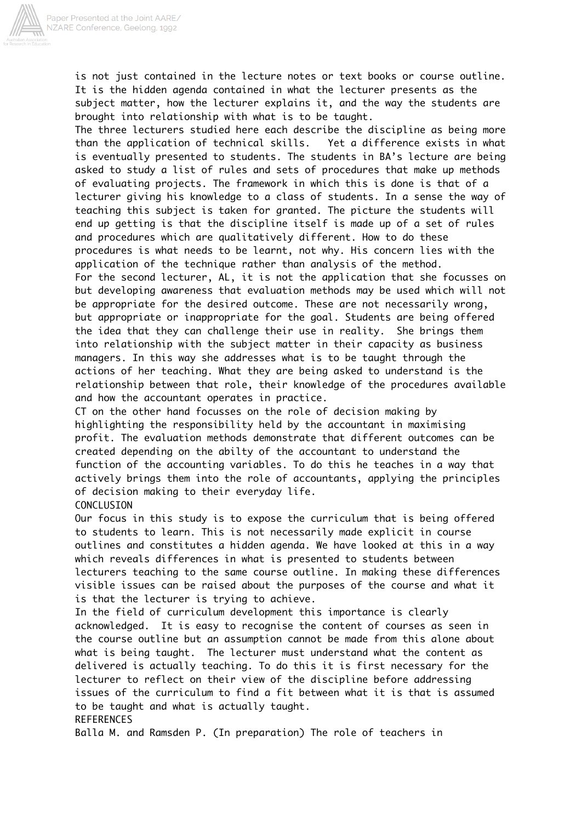![](_page_10_Picture_0.jpeg)

is not just contained in the lecture notes or text books or course outline. It is the hidden agenda contained in what the lecturer presents as the subject matter, how the lecturer explains it, and the way the students are brought into relationship with what is to be taught.

The three lecturers studied here each describe the discipline as being more than the application of technical skills. Yet a difference exists in what is eventually presented to students. The students in BA's lecture are being asked to study a list of rules and sets of procedures that make up methods of evaluating projects. The framework in which this is done is that of a lecturer giving his knowledge to a class of students. In a sense the way of teaching this subject is taken for granted. The picture the students will end up getting is that the discipline itself is made up of a set of rules and procedures which are qualitatively different. How to do these procedures is what needs to be learnt, not why. His concern lies with the application of the technique rather than analysis of the method. For the second lecturer, AL, it is not the application that she focusses on but developing awareness that evaluation methods may be used which will not be appropriate for the desired outcome. These are not necessarily wrong, but appropriate or inappropriate for the goal. Students are being offered the idea that they can challenge their use in reality. She brings them into relationship with the subject matter in their capacity as business managers. In this way she addresses what is to be taught through the actions of her teaching. What they are being asked to understand is the relationship between that role, their knowledge of the procedures available and how the accountant operates in practice.

CT on the other hand focusses on the role of decision making by highlighting the responsibility held by the accountant in maximising profit. The evaluation methods demonstrate that different outcomes can be created depending on the abilty of the accountant to understand the function of the accounting variables. To do this he teaches in a way that actively brings them into the role of accountants, applying the principles of decision making to their everyday life.

CONCLUSION Our focus in this study is to expose the curriculum that is being offered to students to learn. This is not necessarily made explicit in course outlines and constitutes a hidden agenda. We have looked at this in a way which reveals differences in what is presented to students between lecturers teaching to the same course outline. In making these differences visible issues can be raised about the purposes of the course and what it is that the lecturer is trying to achieve.

In the field of curriculum development this importance is clearly acknowledged. It is easy to recognise the content of courses as seen in the course outline but an assumption cannot be made from this alone about what is being taught. The lecturer must understand what the content as delivered is actually teaching. To do this it is first necessary for the lecturer to reflect on their view of the discipline before addressing issues of the curriculum to find a fit between what it is that is assumed to be taught and what is actually taught. **REFERENCES** 

Balla M. and Ramsden P. (In preparation) The role of teachers in